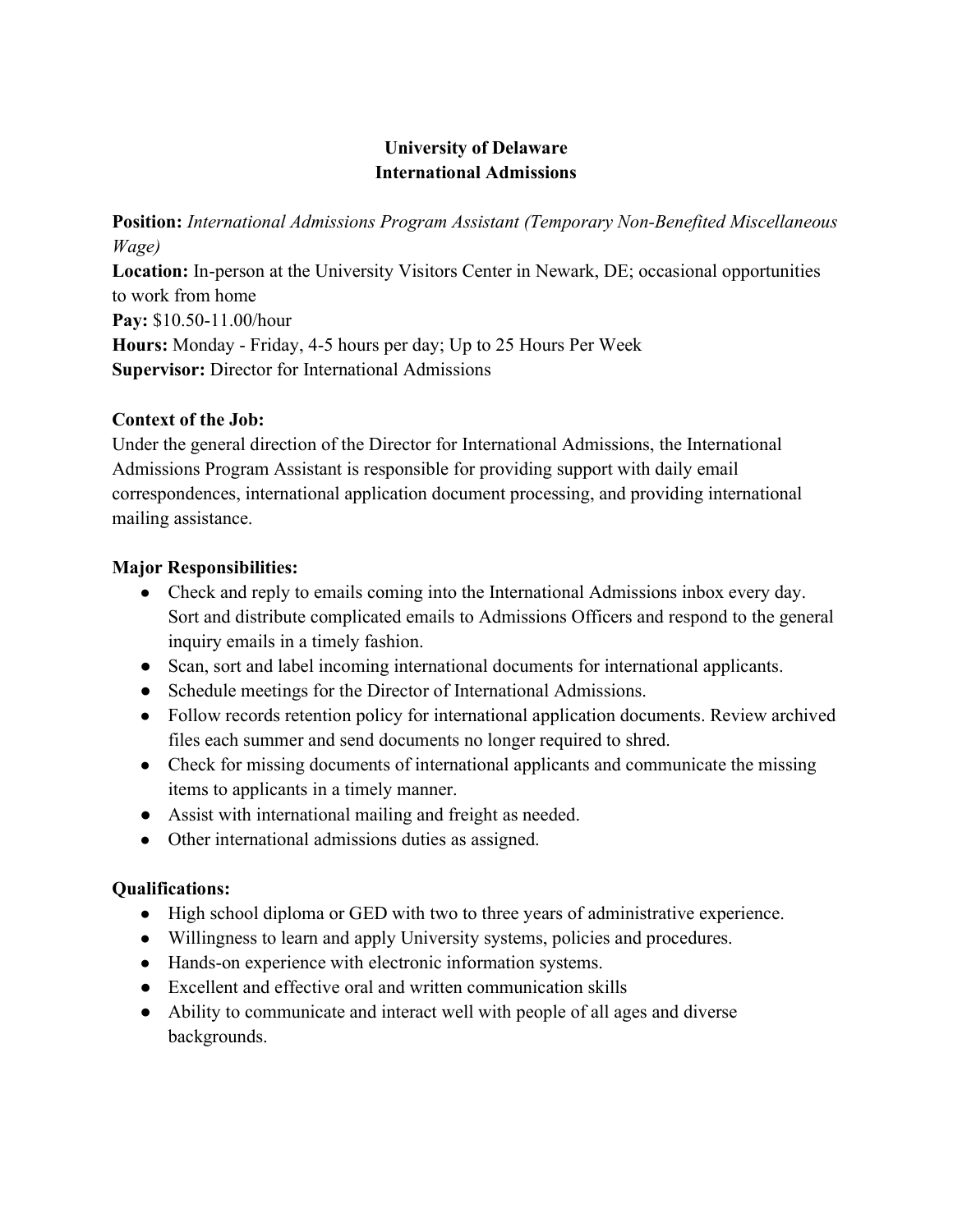# University of Delaware International Admissions

Position: International Admissions Program Assistant (Temporary Non-Benefited Miscellaneous Wage)

Location: In-person at the University Visitors Center in Newark, DE; occasional opportunities to work from home Pay: \$10.50-11.00/hour Hours: Monday - Friday, 4-5 hours per day; Up to 25 Hours Per Week Supervisor: Director for International Admissions

## Context of the Job:

Under the general direction of the Director for International Admissions, the International Admissions Program Assistant is responsible for providing support with daily email correspondences, international application document processing, and providing international mailing assistance.

## Major Responsibilities:

- Check and reply to emails coming into the International Admissions inbox every day. Sort and distribute complicated emails to Admissions Officers and respond to the general inquiry emails in a timely fashion.
- Scan, sort and label incoming international documents for international applicants.
- Schedule meetings for the Director of International Admissions.
- Follow records retention policy for international application documents. Review archived files each summer and send documents no longer required to shred.
- Check for missing documents of international applicants and communicate the missing items to applicants in a timely manner.
- Assist with international mailing and freight as needed.
- Other international admissions duties as assigned.

# Qualifications:

- High school diploma or GED with two to three years of administrative experience.
- Willingness to learn and apply University systems, policies and procedures.
- Hands-on experience with electronic information systems.
- Excellent and effective oral and written communication skills
- Ability to communicate and interact well with people of all ages and diverse backgrounds.